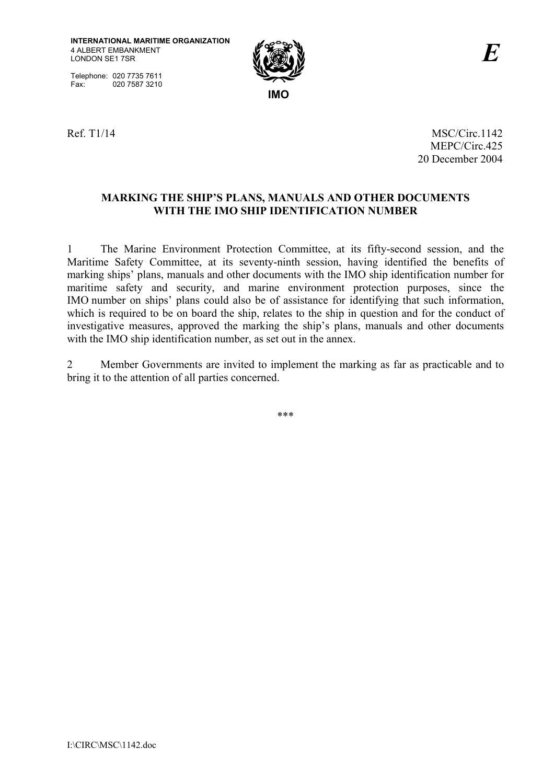Telephone: 020 7735 7611 Fax: 020 7587 3210



Ref. T1/14 MSC/Circ.1142 MEPC/Circ.425 20 December 2004

## **MARKING THE SHIPíS PLANS, MANUALS AND OTHER DOCUMENTS WITH THE IMO SHIP IDENTIFICATION NUMBER**

1 The Marine Environment Protection Committee, at its fifty-second session, and the Maritime Safety Committee, at its seventy-ninth session, having identified the benefits of marking ships' plans, manuals and other documents with the IMO ship identification number for maritime safety and security, and marine environment protection purposes, since the IMO number on ships' plans could also be of assistance for identifying that such information, which is required to be on board the ship, relates to the ship in question and for the conduct of investigative measures, approved the marking the ship's plans, manuals and other documents with the IMO ship identification number, as set out in the annex.

2 Member Governments are invited to implement the marking as far as practicable and to bring it to the attention of all parties concerned.

\*\*\*